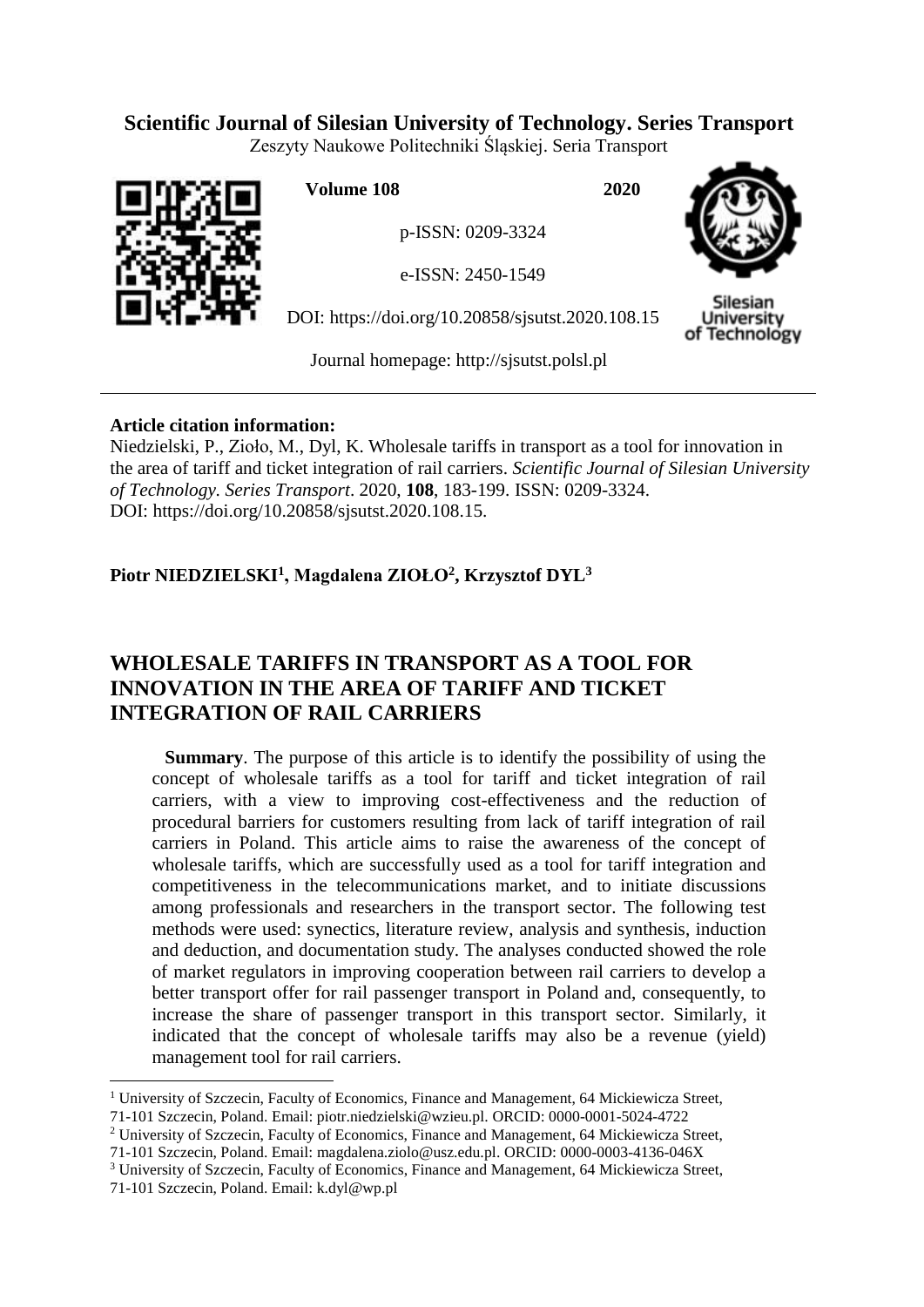# **Scientific Journal of Silesian University of Technology. Series Transport**

Zeszyty Naukowe Politechniki Śląskiej. Seria Transport



**Volume 108 2020**

p-ISSN: 0209-3324

e-ISSN: 2450-1549

DOI: https://doi.org/10.20858/sjsutst.2020.108.15



Silesian University of Technology

Journal homepage: [http://sjsutst.polsl.pl](http://sjsutst.polsl.pl/)

# **Article citation information:**

Niedzielski, P., Zioło, M., Dyl, K. Wholesale tariffs in transport as a tool for innovation in the area of tariff and ticket integration of rail carriers. *Scientific Journal of Silesian University of Technology. Series Transport*. 2020, **108**, 183-199. ISSN: 0209-3324. DOI: https://doi.org/10.20858/sjsutst.2020.108.15.

# **Piotr NIEDZIELSKI<sup>1</sup> , Magdalena ZIOŁO<sup>2</sup> , Krzysztof DYL<sup>3</sup>**

# **WHOLESALE TARIFFS IN TRANSPORT AS A TOOL FOR INNOVATION IN THE AREA OF TARIFF AND TICKET INTEGRATION OF RAIL CARRIERS**

**Summary**. The purpose of this article is to identify the possibility of using the concept of wholesale tariffs as a tool for tariff and ticket integration of rail carriers, with a view to improving cost-effectiveness and the reduction of procedural barriers for customers resulting from lack of tariff integration of rail carriers in Poland. This article aims to raise the awareness of the concept of wholesale tariffs, which are successfully used as a tool for tariff integration and competitiveness in the telecommunications market, and to initiate discussions among professionals and researchers in the transport sector. The following test methods were used: synectics, literature review, analysis and synthesis, induction and deduction, and documentation study. The analyses conducted showed the role of market regulators in improving cooperation between rail carriers to develop a better transport offer for rail passenger transport in Poland and, consequently, to increase the share of passenger transport in this transport sector. Similarly, it indicated that the concept of wholesale tariffs may also be a revenue (yield) management tool for rail carriers.

- <sup>2</sup> University of Szczecin, Faculty of Economics, Finance and Management, 64 Mickiewicza Street,
- 71-101 Szczecin, Poland. Email: [magdalena.ziolo@usz.edu.pl.](mailto:magdalena.ziolo@usz.edu.pl) ORCID: 0000-0003-4136-046X
- <sup>3</sup> University of Szczecin, Faculty of Economics, Finance and Management, 64 Mickiewicza Street,

<sup>&</sup>lt;sup>1</sup> University of Szczecin, Faculty of Economics, Finance and Management, 64 Mickiewicza Street, 71-101 Szczecin, Poland. Email: [piotr.niedzielski@wzieu.pl.](mailto:piotr.niedzielski@wzieu.pl) ORCID: 0000-0001-5024-4722

<sup>71-101</sup> Szczecin, Poland. Email: [k.dyl@wp.pl](mailto:K.dyl@wp.pl)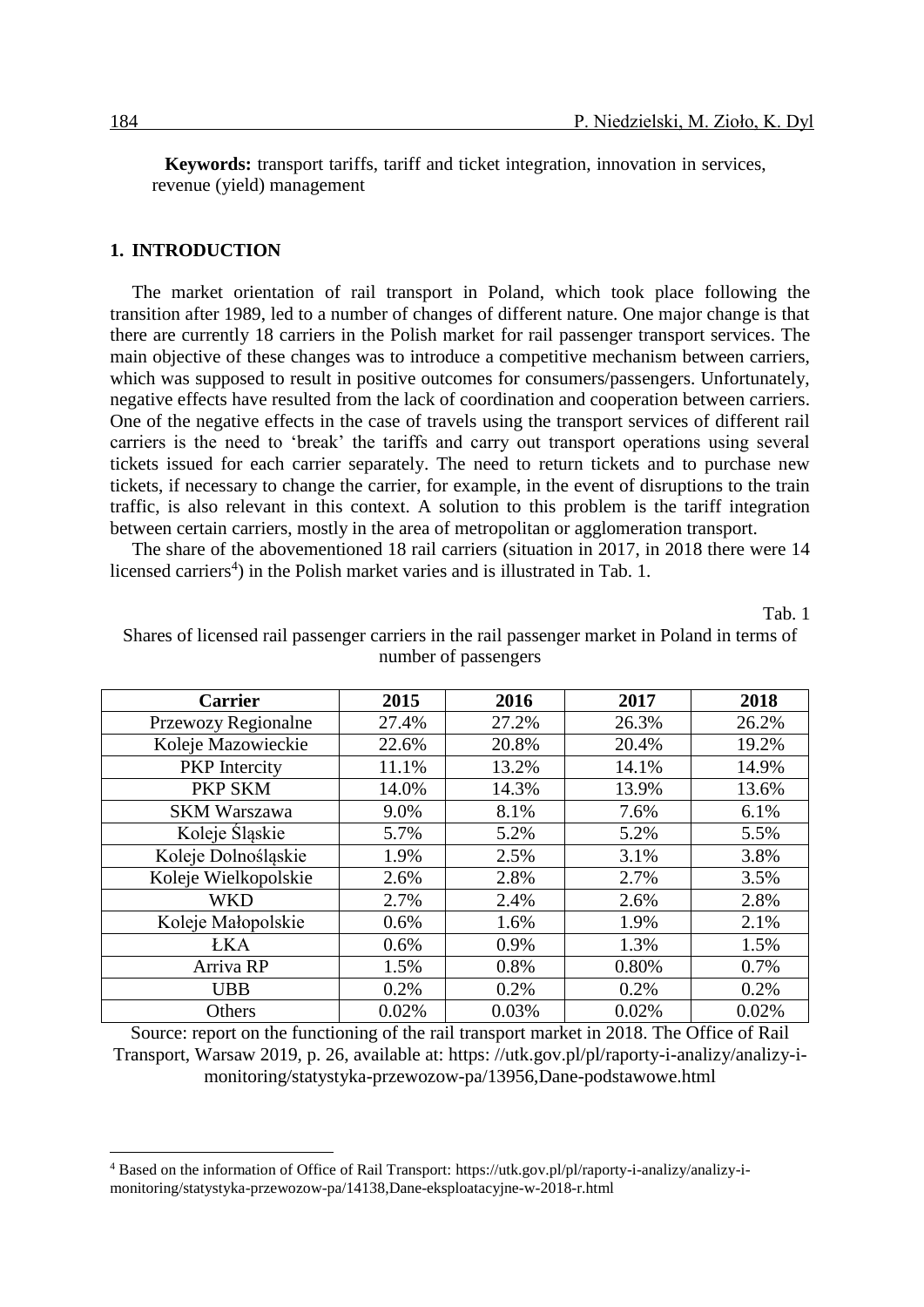**Keywords:** transport tariffs, tariff and ticket integration, innovation in services, revenue (yield) management

#### **1. INTRODUCTION**

The market orientation of rail transport in Poland, which took place following the transition after 1989, led to a number of changes of different nature. One major change is that there are currently 18 carriers in the Polish market for rail passenger transport services. The main objective of these changes was to introduce a competitive mechanism between carriers, which was supposed to result in positive outcomes for consumers/passengers. Unfortunately, negative effects have resulted from the lack of coordination and cooperation between carriers. One of the negative effects in the case of travels using the transport services of different rail carriers is the need to 'break' the tariffs and carry out transport operations using several tickets issued for each carrier separately. The need to return tickets and to purchase new tickets, if necessary to change the carrier, for example, in the event of disruptions to the train traffic, is also relevant in this context. A solution to this problem is the tariff integration between certain carriers, mostly in the area of metropolitan or agglomeration transport.

The share of the abovementioned 18 rail carriers (situation in 2017, in 2018 there were 14 licensed carriers<sup>4</sup>) in the Polish market varies and is illustrated in Tab. 1.

Tab. 1

| <b>Carrier</b>       | 2015  | 2016  | 2017  | 2018  |
|----------------------|-------|-------|-------|-------|
| Przewozy Regionalne  | 27.4% | 27.2% | 26.3% | 26.2% |
| Koleje Mazowieckie   | 22.6% | 20.8% | 20.4% | 19.2% |
| <b>PKP</b> Intercity | 11.1% | 13.2% | 14.1% | 14.9% |
| <b>PKP SKM</b>       | 14.0% | 14.3% | 13.9% | 13.6% |
| <b>SKM Warszawa</b>  | 9.0%  | 8.1%  | 7.6%  | 6.1%  |
| Koleje Śląskie       | 5.7%  | 5.2%  | 5.2%  | 5.5%  |
| Koleje Dolnośląskie  | 1.9%  | 2.5%  | 3.1%  | 3.8%  |
| Koleje Wielkopolskie | 2.6%  | 2.8%  | 2.7%  | 3.5%  |
| <b>WKD</b>           | 2.7%  | 2.4%  | 2.6%  | 2.8%  |
| Koleje Małopolskie   | 0.6%  | 1.6%  | 1.9%  | 2.1%  |
| <b>ŁKA</b>           | 0.6%  | 0.9%  | 1.3%  | 1.5%  |
| Arriva RP            | 1.5%  | 0.8%  | 0.80% | 0.7%  |
| <b>UBB</b>           | 0.2%  | 0.2%  | 0.2%  | 0.2%  |
| Others               | 0.02% | 0.03% | 0.02% | 0.02% |

Shares of licensed rail passenger carriers in the rail passenger market in Poland in terms of number of passengers

Source: report on the functioning of the rail transport market in 2018. The Office of Rail Transport, Warsaw 2019, p. 26, available at: https: //utk.gov.pl/pl/raporty-i-analizy/analizy-imonitoring/statystyka-przewozow-pa/13956,Dane-podstawowe.html

<sup>4</sup> Based on the information of Office of Rail Transport: [https://utk.gov.pl/pl/raporty-i-analizy/analizy-i](https://utk.gov.pl/pl/raporty-i-analizy/analizy-i-monitoring/statystyka-przewozow-pa/14138,Dane-eksploatacyjne-w-2018-r.html)[monitoring/statystyka-przewozow-pa/14138,Dane-eksploatacyjne-w-2018-r.html](https://utk.gov.pl/pl/raporty-i-analizy/analizy-i-monitoring/statystyka-przewozow-pa/14138,Dane-eksploatacyjne-w-2018-r.html)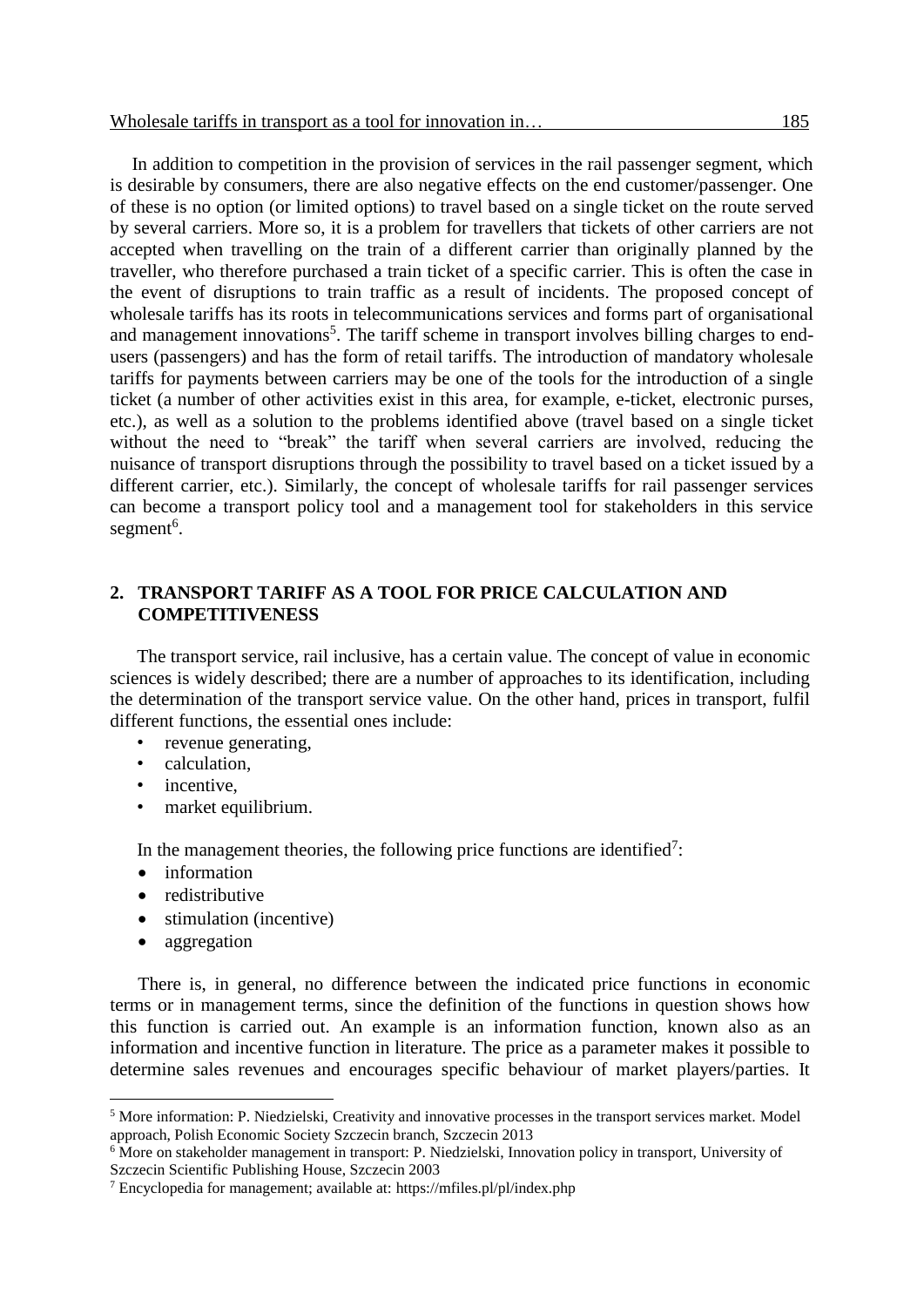In addition to competition in the provision of services in the rail passenger segment, which is desirable by consumers, there are also negative effects on the end customer/passenger. One of these is no option (or limited options) to travel based on a single ticket on the route served

by several carriers. More so, it is a problem for travellers that tickets of other carriers are not accepted when travelling on the train of a different carrier than originally planned by the traveller, who therefore purchased a train ticket of a specific carrier. This is often the case in the event of disruptions to train traffic as a result of incidents. The proposed concept of wholesale tariffs has its roots in telecommunications services and forms part of organisational and management innovations<sup>5</sup>. The tariff scheme in transport involves billing charges to endusers (passengers) and has the form of retail tariffs. The introduction of mandatory wholesale tariffs for payments between carriers may be one of the tools for the introduction of a single ticket (a number of other activities exist in this area, for example, e-ticket, electronic purses, etc.), as well as a solution to the problems identified above (travel based on a single ticket without the need to "break" the tariff when several carriers are involved, reducing the nuisance of transport disruptions through the possibility to travel based on a ticket issued by a different carrier, etc.). Similarly, the concept of wholesale tariffs for rail passenger services can become a transport policy tool and a management tool for stakeholders in this service segment<sup>6</sup>.

## **2. TRANSPORT TARIFF AS A TOOL FOR PRICE CALCULATION AND COMPETITIVENESS**

The transport service, rail inclusive, has a certain value. The concept of value in economic sciences is widely described; there are a number of approaches to its identification, including the determination of the transport service value. On the other hand, prices in transport, fulfil different functions, the essential ones include:

- revenue generating.
- calculation,
- incentive,
- market equilibrium.

In the management theories, the following price functions are identified<sup>7</sup>:

- information
- redistributive
- stimulation (incentive)
- aggregation

 $\overline{a}$ 

There is, in general, no difference between the indicated price functions in economic terms or in management terms, since the definition of the functions in question shows how this function is carried out. An example is an information function, known also as an information and incentive function in literature. The price as a parameter makes it possible to determine sales revenues and encourages specific behaviour of market players/parties. It

<sup>5</sup> More information: P. Niedzielski, Creativity and innovative processes in the transport services market. Model approach, Polish Economic Society Szczecin branch, Szczecin 2013

<sup>6</sup> More on stakeholder management in transport: P. Niedzielski, Innovation policy in transport, University of Szczecin Scientific Publishing House, Szczecin 2003

<sup>7</sup> Encyclopedia for management; available at:<https://mfiles.pl/pl/index.php>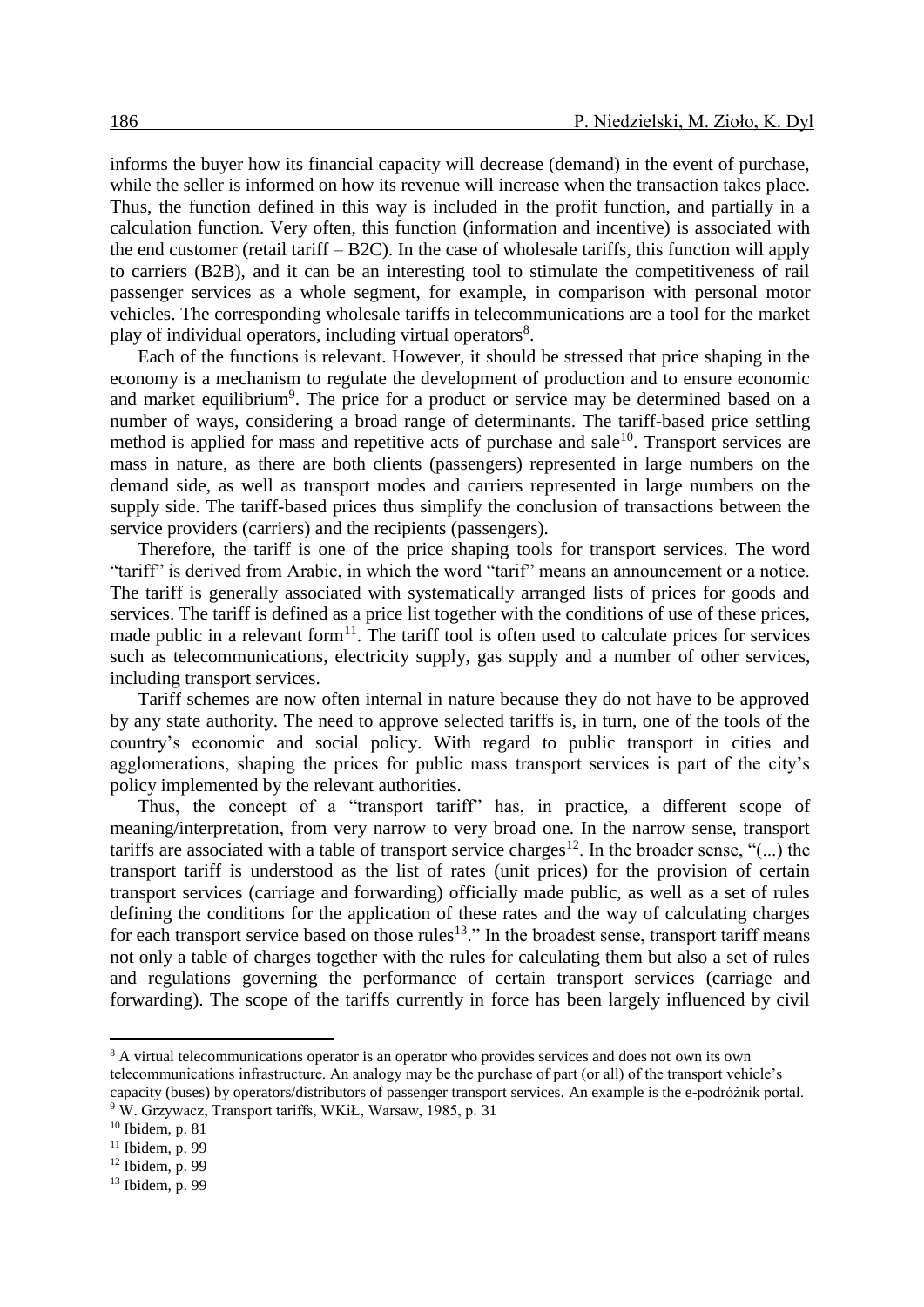informs the buyer how its financial capacity will decrease (demand) in the event of purchase, while the seller is informed on how its revenue will increase when the transaction takes place. Thus, the function defined in this way is included in the profit function, and partially in a calculation function. Very often, this function (information and incentive) is associated with the end customer (retail tariff – B2C). In the case of wholesale tariffs, this function will apply to carriers (B2B), and it can be an interesting tool to stimulate the competitiveness of rail passenger services as a whole segment, for example, in comparison with personal motor vehicles. The corresponding wholesale tariffs in telecommunications are a tool for the market play of individual operators, including virtual operators<sup>8</sup>.

Each of the functions is relevant. However, it should be stressed that price shaping in the economy is a mechanism to regulate the development of production and to ensure economic and market equilibrium<sup>9</sup>. The price for a product or service may be determined based on a number of ways, considering a broad range of determinants. The tariff-based price settling method is applied for mass and repetitive acts of purchase and sale $10$ . Transport services are mass in nature, as there are both clients (passengers) represented in large numbers on the demand side, as well as transport modes and carriers represented in large numbers on the supply side. The tariff-based prices thus simplify the conclusion of transactions between the service providers (carriers) and the recipients (passengers).

Therefore, the tariff is one of the price shaping tools for transport services. The word "tariff" is derived from Arabic, in which the word "tarif" means an announcement or a notice. The tariff is generally associated with systematically arranged lists of prices for goods and services. The tariff is defined as a price list together with the conditions of use of these prices, made public in a relevant form $<sup>11</sup>$ . The tariff tool is often used to calculate prices for services</sup> such as telecommunications, electricity supply, gas supply and a number of other services, including transport services.

Tariff schemes are now often internal in nature because they do not have to be approved by any state authority. The need to approve selected tariffs is, in turn, one of the tools of the country's economic and social policy. With regard to public transport in cities and agglomerations, shaping the prices for public mass transport services is part of the city's policy implemented by the relevant authorities.

Thus, the concept of a "transport tariff" has, in practice, a different scope of meaning/interpretation, from very narrow to very broad one. In the narrow sense, transport tariffs are associated with a table of transport service charges<sup>12</sup>. In the broader sense, "(...) the transport tariff is understood as the list of rates (unit prices) for the provision of certain transport services (carriage and forwarding) officially made public, as well as a set of rules defining the conditions for the application of these rates and the way of calculating charges for each transport service based on those rules<sup>13</sup>." In the broadest sense, transport tariff means not only a table of charges together with the rules for calculating them but also a set of rules and regulations governing the performance of certain transport services (carriage and forwarding). The scope of the tariffs currently in force has been largely influenced by civil

<sup>8</sup> A virtual telecommunications operator is an operator who provides services and does not own its own telecommunications infrastructure. An analogy may be the purchase of part (or all) of the transport vehicle's capacity (buses) by operators/distributors of passenger transport services. An example is the e-podróżnik portal. <sup>9</sup> W. Grzywacz, Transport tariffs, WKiŁ, Warsaw, 1985, p. 31

 $10$  Ibidem, p. 81

 $11$  Ibidem, p. 99

 $12$  Ibidem, p. 99

<sup>13</sup> Ibidem, p. 99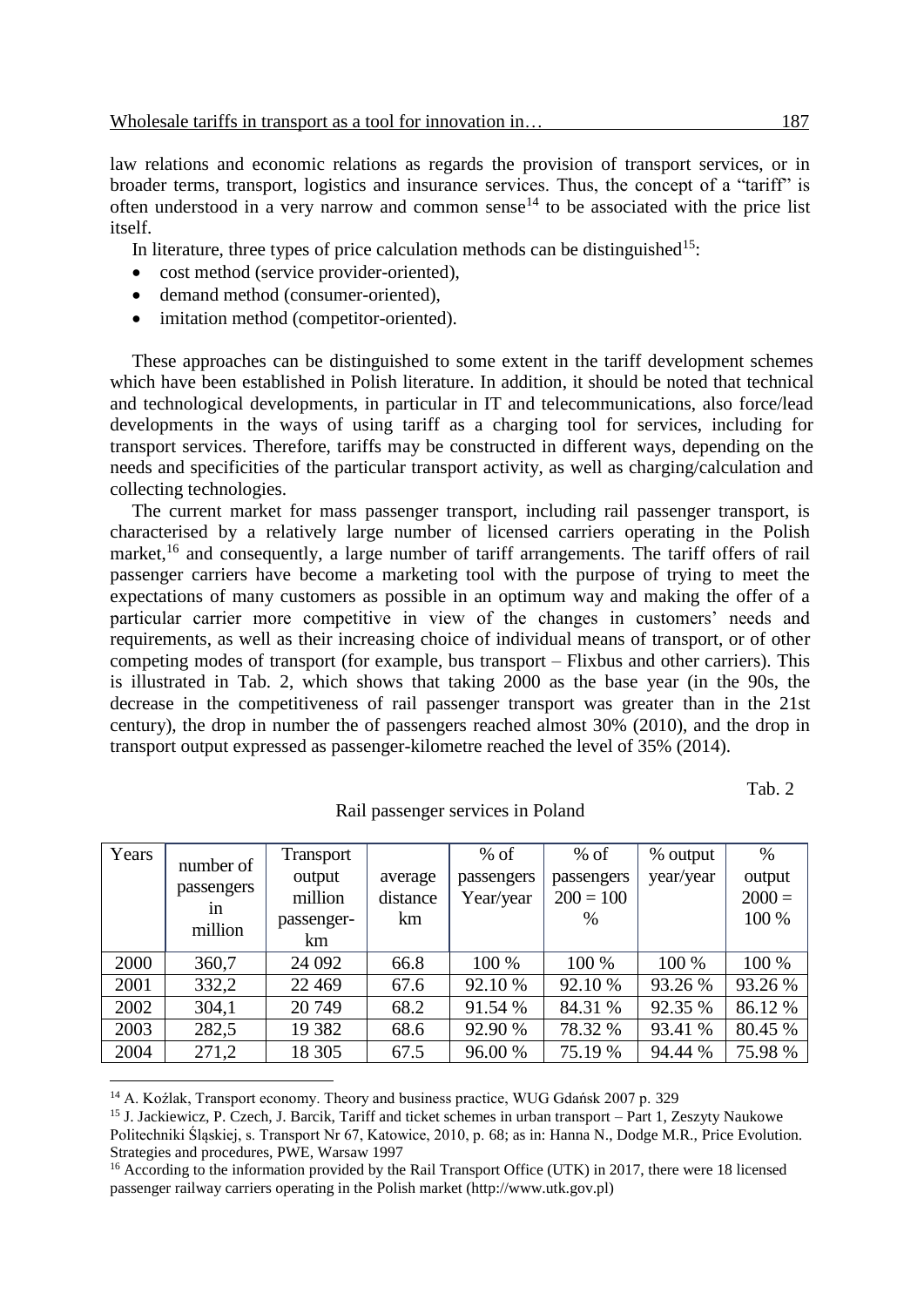law relations and economic relations as regards the provision of transport services, or in broader terms, transport, logistics and insurance services. Thus, the concept of a "tariff" is often understood in a very narrow and common sense<sup>14</sup> to be associated with the price list itself.

In literature, three types of price calculation methods can be distinguished<sup>15</sup>:

- cost method (service provider-oriented),
- demand method (consumer-oriented),
- imitation method (competitor-oriented).

These approaches can be distinguished to some extent in the tariff development schemes which have been established in Polish literature. In addition, it should be noted that technical and technological developments, in particular in IT and telecommunications, also force/lead developments in the ways of using tariff as a charging tool for services, including for transport services. Therefore, tariffs may be constructed in different ways, depending on the needs and specificities of the particular transport activity, as well as charging/calculation and collecting technologies.

The current market for mass passenger transport, including rail passenger transport, is characterised by a relatively large number of licensed carriers operating in the Polish market,<sup>16</sup> and consequently, a large number of tariff arrangements. The tariff offers of rail passenger carriers have become a marketing tool with the purpose of trying to meet the expectations of many customers as possible in an optimum way and making the offer of a particular carrier more competitive in view of the changes in customers' needs and requirements, as well as their increasing choice of individual means of transport, or of other competing modes of transport (for example, bus transport – Flixbus and other carriers). This is illustrated in Tab. 2, which shows that taking 2000 as the base year (in the 90s, the decrease in the competitiveness of rail passenger transport was greater than in the 21st century), the drop in number the of passengers reached almost 30% (2010), and the drop in transport output expressed as passenger-kilometre reached the level of 35% (2014).

Tab. 2

| Years | number of        | Transport  |          | $%$ of     | $%$ of      | % output  | $\%$     |
|-------|------------------|------------|----------|------------|-------------|-----------|----------|
|       |                  | output     | average  | passengers | passengers  | year/year | output   |
|       | passengers<br>1n | million    | distance | Year/year  | $200 = 100$ |           | $2000 =$ |
|       | million          | passenger- | km       |            | $\%$        |           | 100 %    |
|       |                  | km         |          |            |             |           |          |
| 2000  | 360,7            | 24 092     | 66.8     | 100 %      | 100 %       | 100 %     | 100 %    |
| 2001  | 332,2            | 22 4 6 9   | 67.6     | 92.10 %    | 92.10 %     | 93.26 %   | 93.26 %  |
| 2002  | 304,1            | 20 749     | 68.2     | 91.54 %    | 84.31 %     | 92.35 %   | 86.12 %  |
| 2003  | 282,5            | 19 3 82    | 68.6     | 92.90 %    | 78.32 %     | 93.41 %   | 80.45 %  |
| 2004  | 271,2            | 18 305     | 67.5     | 96.00 %    | 75.19 %     | 94.44 %   | 75.98 %  |

Rail passenger services in Poland

<sup>14</sup> A. Koźlak, Transport economy. Theory and business practice, WUG Gdańsk 2007 p. 329

 $\overline{a}$ 

<sup>15</sup> J. Jackiewicz, P. Czech, J. Barcik, Tariff and ticket schemes in urban transport – Part 1, Zeszyty Naukowe Politechniki Śląskiej, s. Transport Nr 67, Katowice, 2010, p. 68; as in: Hanna N., Dodge M.R., Price Evolution. Strategies and procedures, PWE, Warsaw 1997

<sup>16</sup> According to the information provided by the Rail Transport Office (UTK) in 2017, there were 18 licensed passenger railway carriers operating in the Polish market (http://www.utk.gov.pl)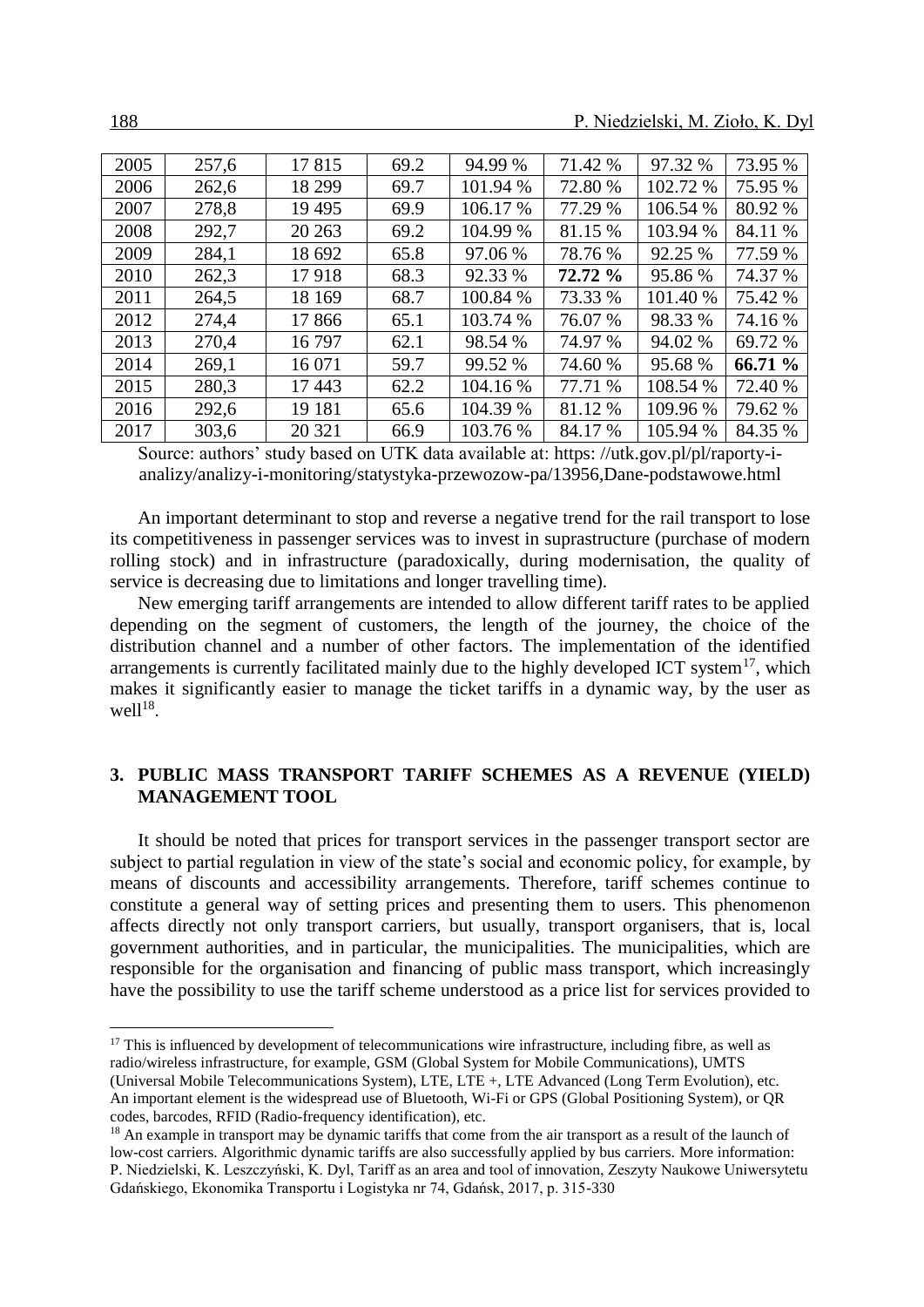| 2005 | 257,6 | 17815   | 69.2 | 94.99 %  | 71.42 % | 97.32 %  | 73.95 % |
|------|-------|---------|------|----------|---------|----------|---------|
| 2006 | 262,6 | 18 299  | 69.7 | 101.94 % | 72.80 % | 102.72 % | 75.95 % |
| 2007 | 278,8 | 19 4 95 | 69.9 | 106.17 % | 77.29 % | 106.54 % | 80.92 % |
| 2008 | 292,7 | 20 26 3 | 69.2 | 104.99 % | 81.15 % | 103.94 % | 84.11 % |
| 2009 | 284,1 | 18 692  | 65.8 | 97.06 %  | 78.76 % | 92.25 %  | 77.59 % |
| 2010 | 262,3 | 17918   | 68.3 | 92.33 %  | 72.72 % | 95.86%   | 74.37 % |
| 2011 | 264,5 | 18 169  | 68.7 | 100.84 % | 73.33 % | 101.40 % | 75.42 % |
| 2012 | 274,4 | 17866   | 65.1 | 103.74 % | 76.07 % | 98.33 %  | 74.16 % |
| 2013 | 270,4 | 16797   | 62.1 | 98.54 %  | 74.97 % | 94.02 %  | 69.72 % |
| 2014 | 269,1 | 16 071  | 59.7 | 99.52 %  | 74.60 % | 95.68 %  | 66.71 % |
| 2015 | 280,3 | 17443   | 62.2 | 104.16 % | 77.71 % | 108.54 % | 72.40 % |
| 2016 | 292,6 | 19 18 1 | 65.6 | 104.39 % | 81.12 % | 109.96 % | 79.62 % |
| 2017 | 303,6 | 20 321  | 66.9 | 103.76 % | 84.17 % | 105.94 % | 84.35 % |

Source: authors' study based on UTK data available at: [https: //utk.gov.pl/pl/raporty-i](https://utk.gov.pl/pl/raporty-i-analizy/analizy-i-monitoring/statystyka-przewozow-pa/13956,Dane-podstawowe.html)[analizy/analizy-i-monitoring/statystyka-przewozow-pa/13956,Dane-podstawowe.html](https://utk.gov.pl/pl/raporty-i-analizy/analizy-i-monitoring/statystyka-przewozow-pa/13956,Dane-podstawowe.html)

An important determinant to stop and reverse a negative trend for the rail transport to lose its competitiveness in passenger services was to invest in suprastructure (purchase of modern rolling stock) and in infrastructure (paradoxically, during modernisation, the quality of service is decreasing due to limitations and longer travelling time).

New emerging tariff arrangements are intended to allow different tariff rates to be applied depending on the segment of customers, the length of the journey, the choice of the distribution channel and a number of other factors. The implementation of the identified arrangements is currently facilitated mainly due to the highly developed ICT system<sup>17</sup>, which makes it significantly easier to manage the ticket tariffs in a dynamic way, by the user as  $\leq l^{18}$ .

# **3. PUBLIC MASS TRANSPORT TARIFF SCHEMES AS A REVENUE (YIELD) MANAGEMENT TOOL**

It should be noted that prices for transport services in the passenger transport sector are subject to partial regulation in view of the state's social and economic policy, for example, by means of discounts and accessibility arrangements. Therefore, tariff schemes continue to constitute a general way of setting prices and presenting them to users. This phenomenon affects directly not only transport carriers, but usually, transport organisers, that is, local government authorities, and in particular, the municipalities. The municipalities, which are responsible for the organisation and financing of public mass transport, which increasingly have the possibility to use the tariff scheme understood as a price list for services provided to

 $17$  This is influenced by development of telecommunications wire infrastructure, including fibre, as well as radio/wireless infrastructure, for example, GSM (Global System for Mobile Communications), UMTS (Universal Mobile Telecommunications System), LTE, LTE +, LTE Advanced (Long Term Evolution), etc. An important element is the widespread use of Bluetooth, Wi-Fi or GPS (Global Positioning System), or QR codes, barcodes, RFID (Radio-frequency identification), etc.

<sup>&</sup>lt;sup>18</sup> An example in transport may be dynamic tariffs that come from the air transport as a result of the launch of low-cost carriers. Algorithmic dynamic tariffs are also successfully applied by bus carriers. More information: P. Niedzielski, K. Leszczyński, K. Dyl, Tariff as an area and tool of innovation, Zeszyty Naukowe Uniwersytetu Gdańskiego, Ekonomika Transportu i Logistyka nr 74, Gdańsk, 2017, p. 315-330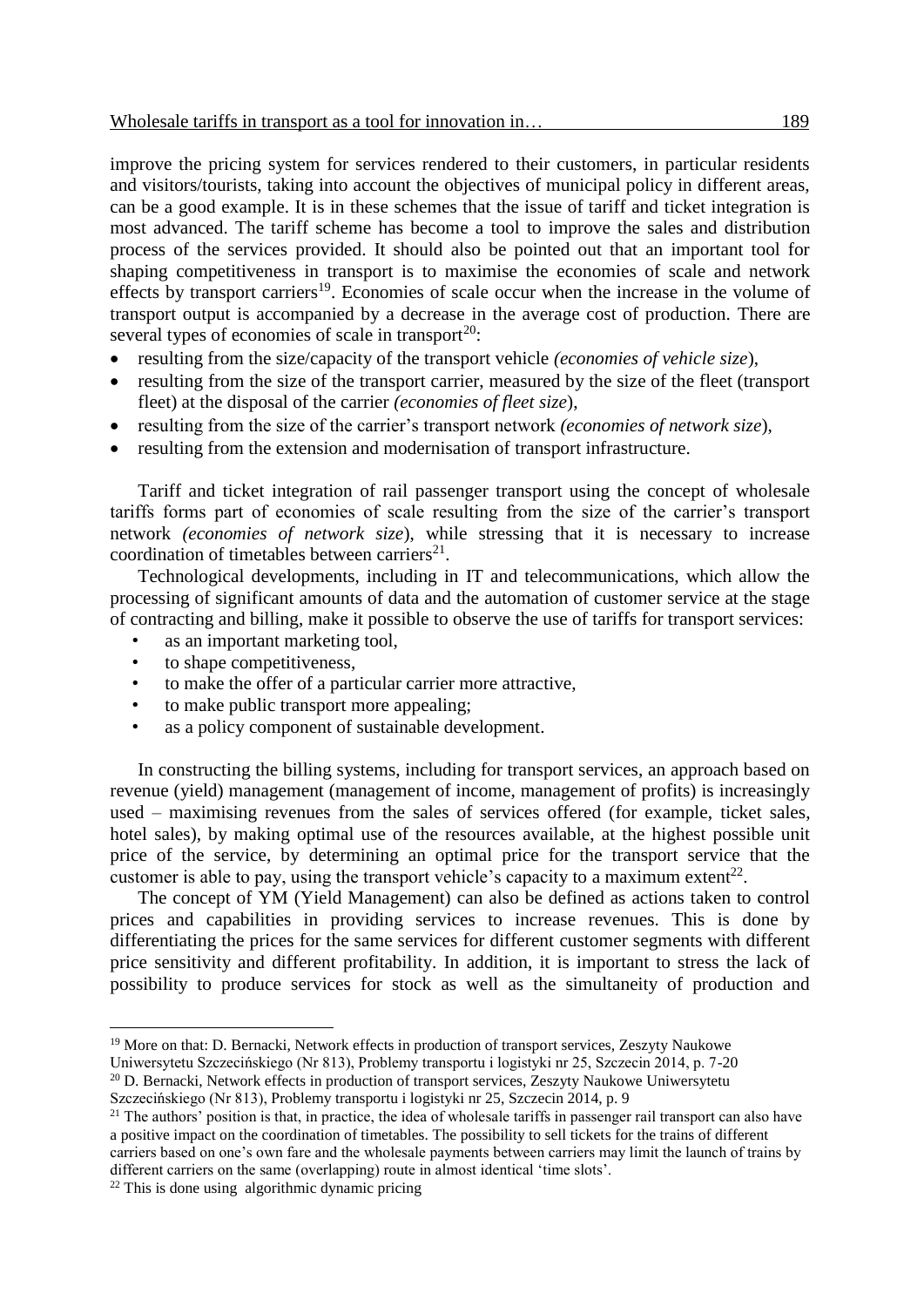improve the pricing system for services rendered to their customers, in particular residents and visitors/tourists, taking into account the objectives of municipal policy in different areas, can be a good example. It is in these schemes that the issue of tariff and ticket integration is most advanced. The tariff scheme has become a tool to improve the sales and distribution process of the services provided. It should also be pointed out that an important tool for shaping competitiveness in transport is to maximise the economies of scale and network effects by transport carriers<sup>19</sup>. Economies of scale occur when the increase in the volume of transport output is accompanied by a decrease in the average cost of production. There are several types of economies of scale in transport<sup>20</sup>:

- resulting from the size/capacity of the transport vehicle *(economies of vehicle size*),
- resulting from the size of the transport carrier, measured by the size of the fleet (transport fleet) at the disposal of the carrier *(economies of fleet size*),
- resulting from the size of the carrier's transport network *(economies of network size*),
- resulting from the extension and modernisation of transport infrastructure.

Tariff and ticket integration of rail passenger transport using the concept of wholesale tariffs forms part of economies of scale resulting from the size of the carrier's transport network *(economies of network size*), while stressing that it is necessary to increase coordination of timetables between carriers $^{21}$ .

Technological developments, including in IT and telecommunications, which allow the processing of significant amounts of data and the automation of customer service at the stage of contracting and billing, make it possible to observe the use of tariffs for transport services:

- as an important marketing tool.
- to shape competitiveness.
- to make the offer of a particular carrier more attractive,
- to make public transport more appealing:
- as a policy component of sustainable development.

In constructing the billing systems, including for transport services, an approach based on revenue (yield) management (management of income, management of profits) is increasingly used – maximising revenues from the sales of services offered (for example, ticket sales, hotel sales), by making optimal use of the resources available, at the highest possible unit price of the service, by determining an optimal price for the transport service that the customer is able to pay, using the transport vehicle's capacity to a maximum extent<sup>22</sup>.

The concept of YM (Yield Management) can also be defined as actions taken to control prices and capabilities in providing services to increase revenues. This is done by differentiating the prices for the same services for different customer segments with different price sensitivity and different profitability. In addition, it is important to stress the lack of possibility to produce services for stock as well as the simultaneity of production and

<sup>&</sup>lt;sup>19</sup> More on that: D. Bernacki, Network effects in production of transport services, Zeszyty Naukowe Uniwersytetu Szczecińskiego (Nr 813), Problemy transportu i logistyki nr 25, Szczecin 2014, p. 7-20

<sup>20</sup> D. Bernacki, Network effects in production of transport services, Zeszyty Naukowe Uniwersytetu Szczecińskiego (Nr 813), Problemy transportu i logistyki nr 25, Szczecin 2014, p. 9

 $21$  The authors' position is that, in practice, the idea of wholesale tariffs in passenger rail transport can also have a positive impact on the coordination of timetables. The possibility to sell tickets for the trains of different carriers based on one's own fare and the wholesale payments between carriers may limit the launch of trains by different carriers on the same (overlapping) route in almost identical 'time slots'.

 $22$  This is done using algorithmic dynamic pricing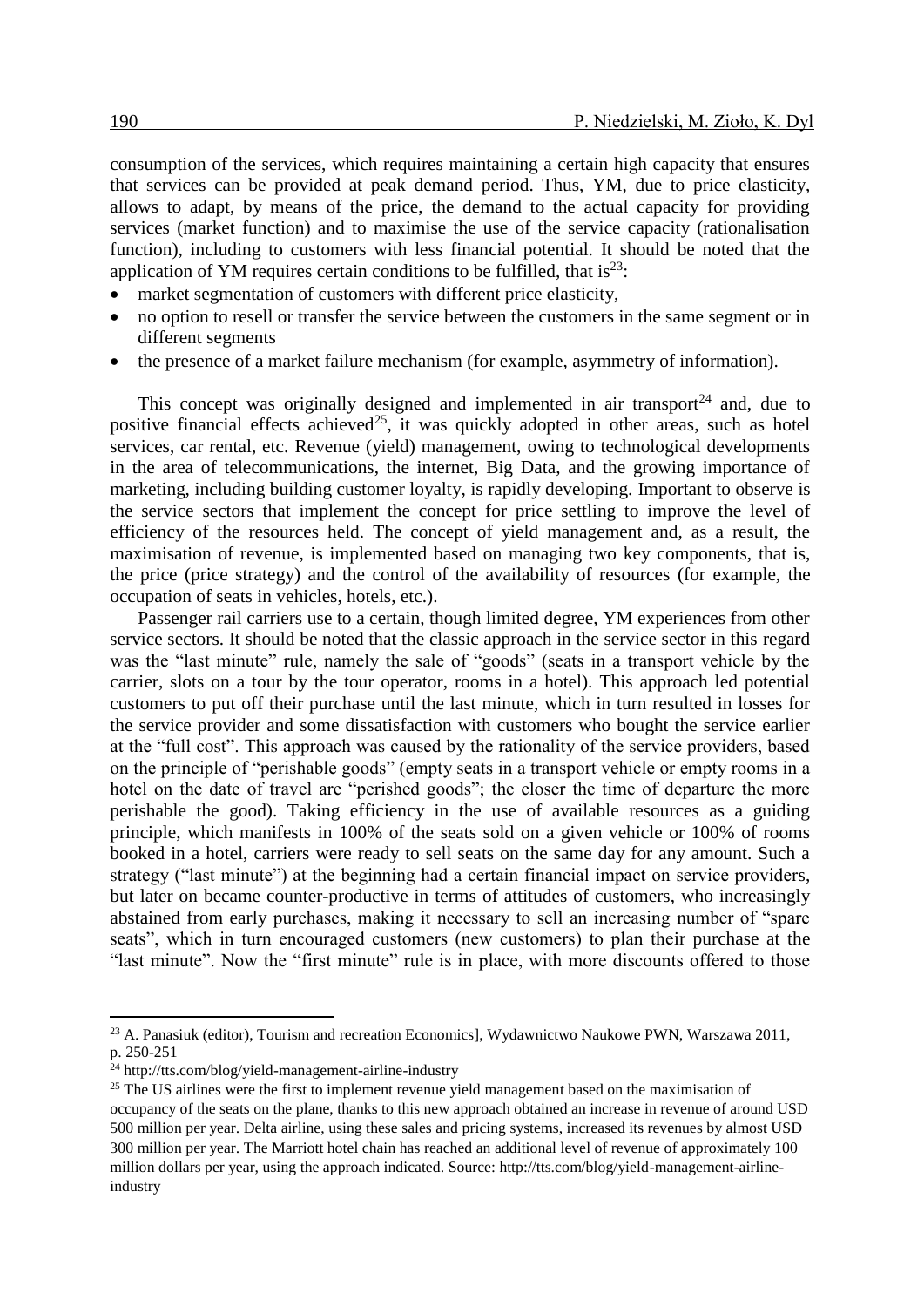consumption of the services, which requires maintaining a certain high capacity that ensures that services can be provided at peak demand period. Thus, YM, due to price elasticity, allows to adapt, by means of the price, the demand to the actual capacity for providing services (market function) and to maximise the use of the service capacity (rationalisation function), including to customers with less financial potential. It should be noted that the application of YM requires certain conditions to be fulfilled, that is  $23$ .

- market segmentation of customers with different price elasticity,
- no option to resell or transfer the service between the customers in the same segment or in different segments
- the presence of a market failure mechanism (for example, asymmetry of information).

This concept was originally designed and implemented in air transport<sup>24</sup> and, due to positive financial effects achieved<sup>25</sup>, it was quickly adopted in other areas, such as hotel services, car rental, etc. Revenue (yield) management, owing to technological developments in the area of telecommunications, the internet, Big Data, and the growing importance of marketing, including building customer loyalty, is rapidly developing. Important to observe is the service sectors that implement the concept for price settling to improve the level of efficiency of the resources held. The concept of yield management and, as a result, the maximisation of revenue, is implemented based on managing two key components, that is, the price (price strategy) and the control of the availability of resources (for example, the occupation of seats in vehicles, hotels, etc.).

Passenger rail carriers use to a certain, though limited degree, YM experiences from other service sectors. It should be noted that the classic approach in the service sector in this regard was the "last minute" rule, namely the sale of "goods" (seats in a transport vehicle by the carrier, slots on a tour by the tour operator, rooms in a hotel). This approach led potential customers to put off their purchase until the last minute, which in turn resulted in losses for the service provider and some dissatisfaction with customers who bought the service earlier at the "full cost". This approach was caused by the rationality of the service providers, based on the principle of "perishable goods" (empty seats in a transport vehicle or empty rooms in a hotel on the date of travel are "perished goods"; the closer the time of departure the more perishable the good). Taking efficiency in the use of available resources as a guiding principle, which manifests in 100% of the seats sold on a given vehicle or 100% of rooms booked in a hotel, carriers were ready to sell seats on the same day for any amount. Such a strategy ("last minute") at the beginning had a certain financial impact on service providers, but later on became counter-productive in terms of attitudes of customers, who increasingly abstained from early purchases, making it necessary to sell an increasing number of "spare seats", which in turn encouraged customers (new customers) to plan their purchase at the "last minute". Now the "first minute" rule is in place, with more discounts offered to those

<sup>23</sup> A. Panasiuk (editor), Tourism and recreation Economics], Wydawnictwo Naukowe PWN, Warszawa 2011, p. 250-251

 $^{24}$  http://tts.com/blog/yield-management-airline-industry

<sup>&</sup>lt;sup>25</sup> The US airlines were the first to implement revenue yield management based on the maximisation of occupancy of the seats on the plane, thanks to this new approach obtained an increase in revenue of around USD 500 million per year. Delta airline, using these sales and pricing systems, increased its revenues by almost USD 300 million per year. The Marriott hotel chain has reached an additional level of revenue of approximately 100 million dollars per year, using the approach indicated. Source: http://tts.com/blog/yield-management-airlineindustry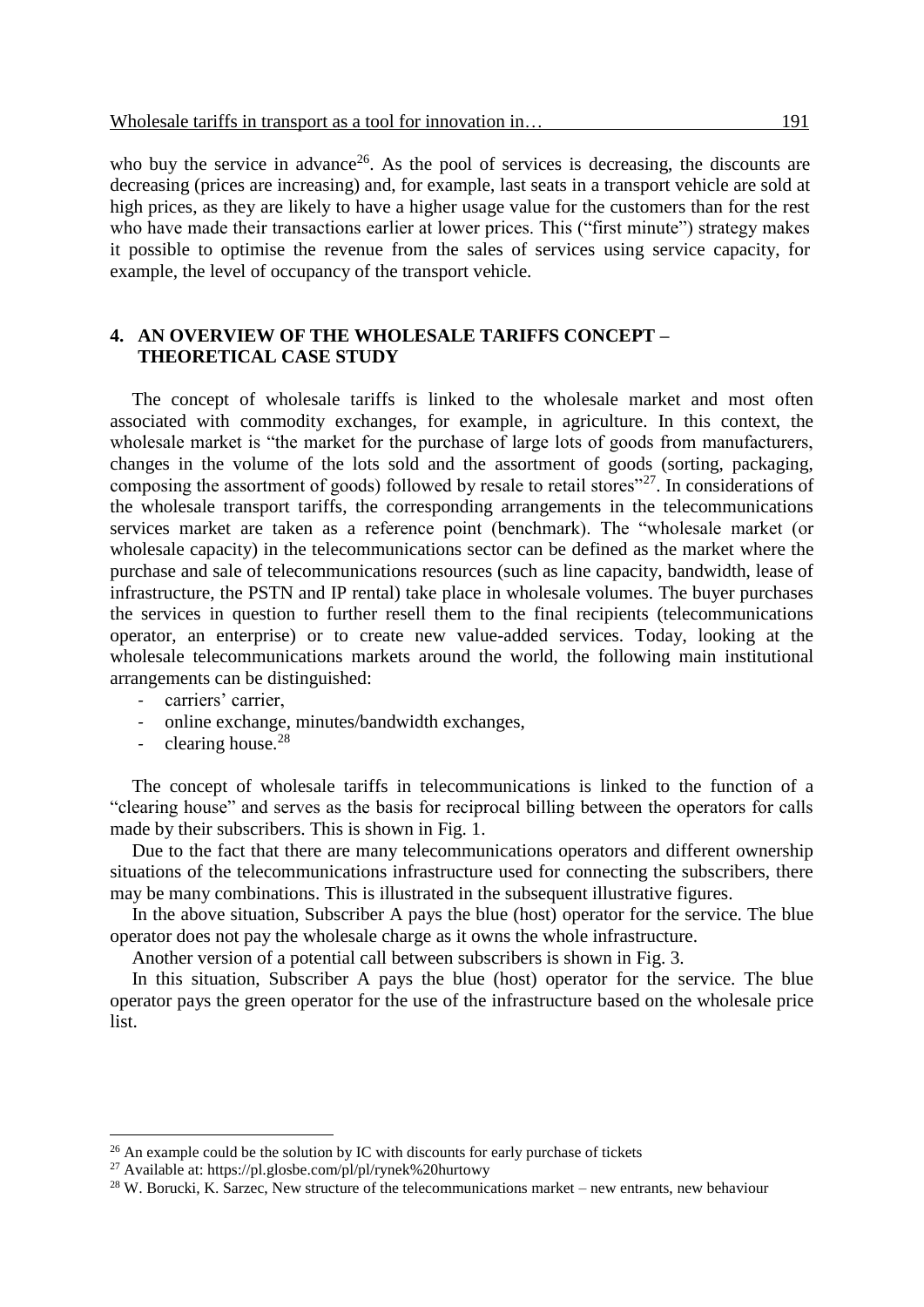who buy the service in advance<sup>26</sup>. As the pool of services is decreasing, the discounts are decreasing (prices are increasing) and, for example, last seats in a transport vehicle are sold at high prices, as they are likely to have a higher usage value for the customers than for the rest who have made their transactions earlier at lower prices. This ("first minute") strategy makes it possible to optimise the revenue from the sales of services using service capacity, for example, the level of occupancy of the transport vehicle.

## **4. AN OVERVIEW OF THE WHOLESALE TARIFFS CONCEPT – THEORETICAL CASE STUDY**

The concept of wholesale tariffs is linked to the wholesale market and most often associated with commodity exchanges, for example, in agriculture. In this context, the wholesale market is "the market for the purchase of large lots of goods from manufacturers, changes in the volume of the lots sold and the assortment of goods (sorting, packaging, composing the assortment of goods) followed by resale to retail stores<sup> $27$ </sup>. In considerations of the wholesale transport tariffs, the corresponding arrangements in the telecommunications services market are taken as a reference point (benchmark). The "wholesale market (or wholesale capacity) in the telecommunications sector can be defined as the market where the purchase and sale of telecommunications resources (such as line capacity, bandwidth, lease of infrastructure, the PSTN and IP rental) take place in wholesale volumes. The buyer purchases the services in question to further resell them to the final recipients (telecommunications operator, an enterprise) or to create new value-added services. Today, looking at the wholesale telecommunications markets around the world, the following main institutional arrangements can be distinguished:

- *-* carriers' carrier,
- *-* online exchange, minutes/bandwidth exchanges,
- *-* clearing house.<sup>28</sup>

 $\overline{a}$ 

The concept of wholesale tariffs in telecommunications is linked to the function of a "clearing house" and serves as the basis for reciprocal billing between the operators for calls made by their subscribers. This is shown in Fig. 1.

Due to the fact that there are many telecommunications operators and different ownership situations of the telecommunications infrastructure used for connecting the subscribers, there may be many combinations. This is illustrated in the subsequent illustrative figures.

In the above situation, Subscriber A pays the blue (host) operator for the service. The blue operator does not pay the wholesale charge as it owns the whole infrastructure.

Another version of a potential call between subscribers is shown in Fig. 3.

In this situation, Subscriber A pays the blue (host) operator for the service. The blue operator pays the green operator for the use of the infrastructure based on the wholesale price list.

<sup>&</sup>lt;sup>26</sup> An example could be the solution by IC with discounts for early purchase of tickets

<sup>27</sup> Available at:<https://pl.glosbe.com/pl/pl/rynek%20hurtowy>

 $^{28}$  W. Borucki, K. Sarzec, New structure of the telecommunications market – new entrants, new behaviour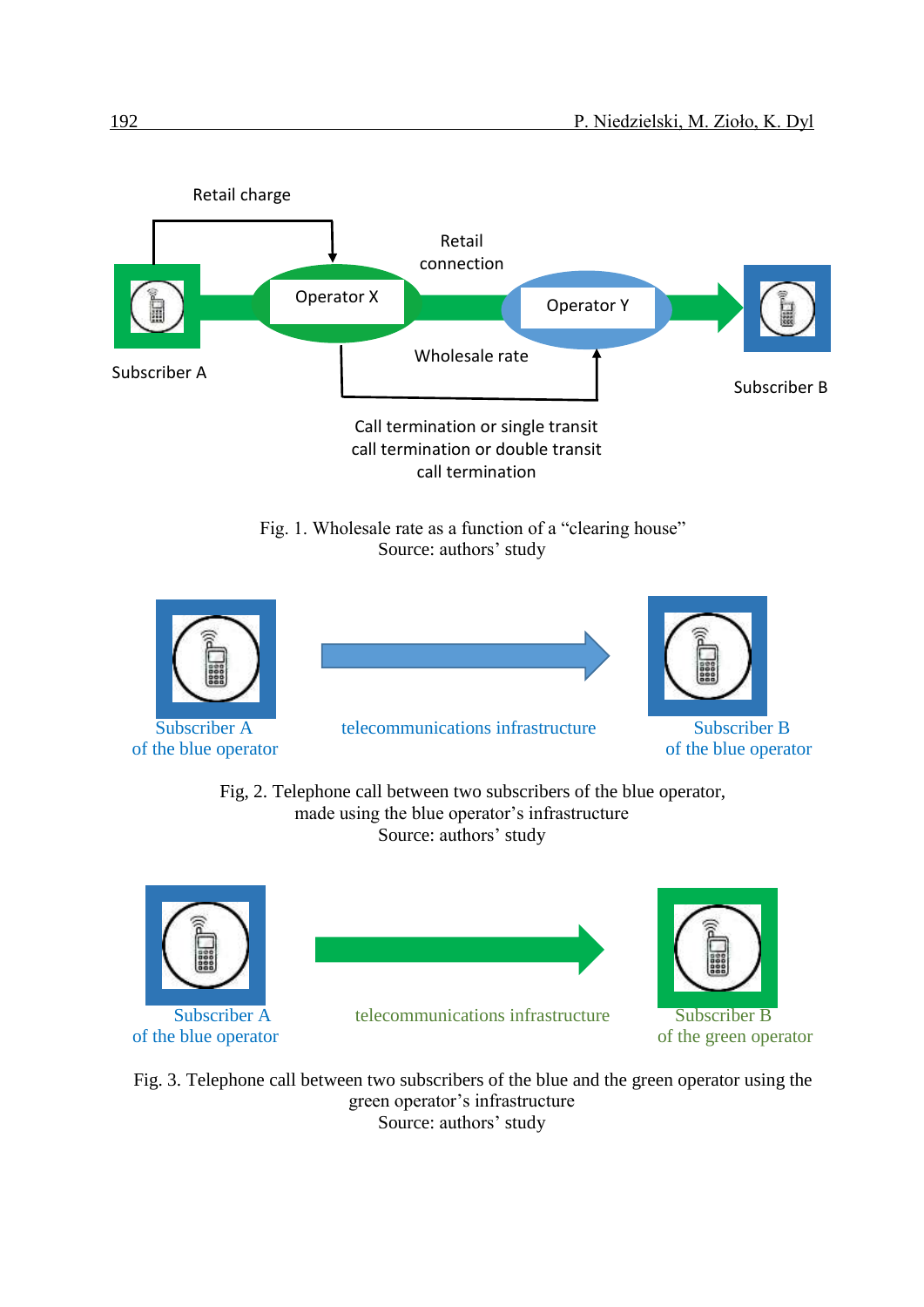

Fig. 1. Wholesale rate as a function of a "clearing house" Source: authors' study



Fig, 2. Telephone call between two subscribers of the blue operator, made using the blue operator's infrastructure Source: authors' study





Subscriber A telecommunications infrastructure Subscriber B



of the blue operator of the green operator

Fig. 3. Telephone call between two subscribers of the blue and the green operator using the green operator's infrastructure Source: authors' study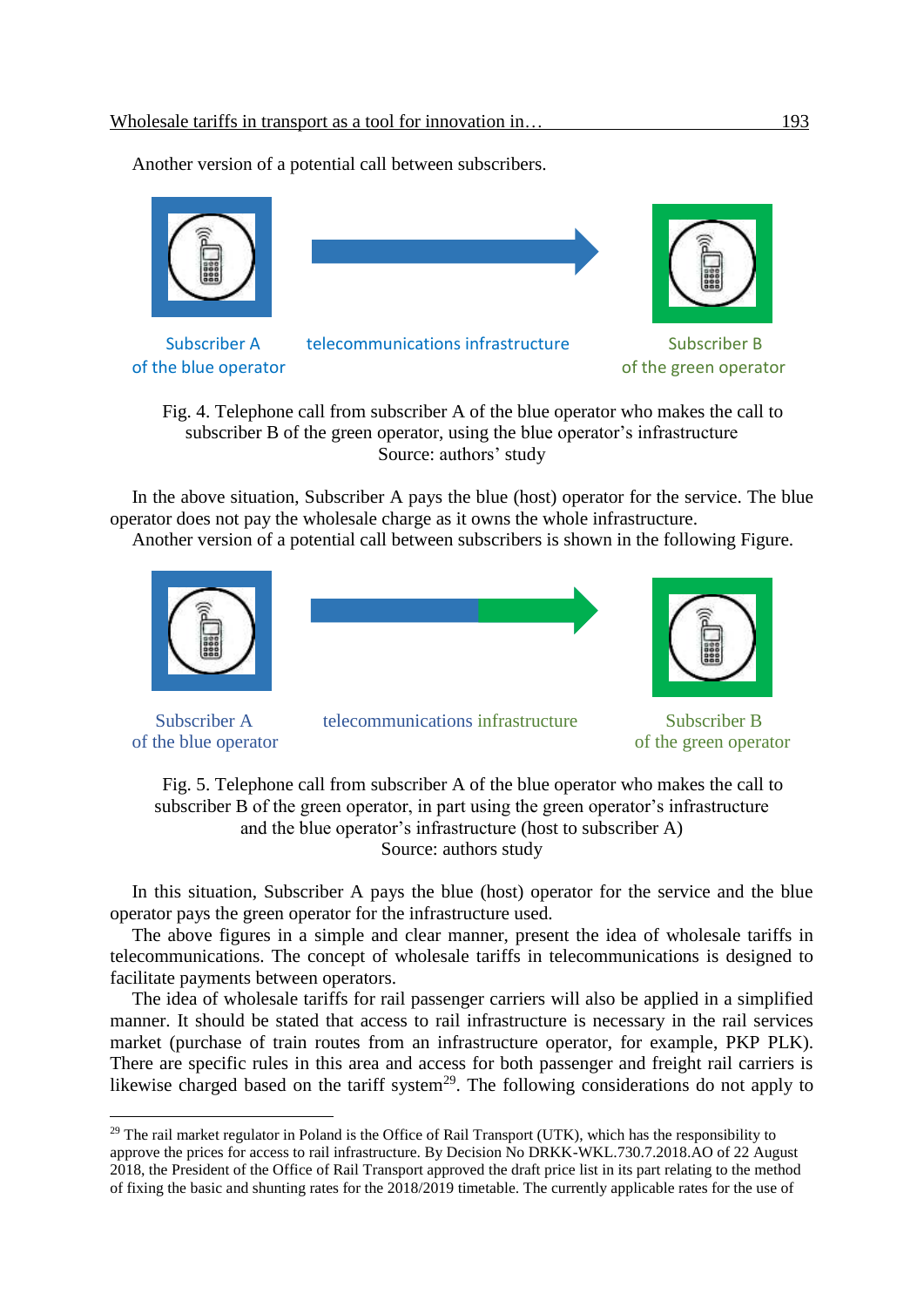Another version of a potential call between subscribers.



Fig. 4. Telephone call from subscriber A of the blue operator who makes the call to subscriber B of the green operator, using the blue operator's infrastructure Source: authors' study

In the above situation, Subscriber A pays the blue (host) operator for the service. The blue operator does not pay the wholesale charge as it owns the whole infrastructure.

Another version of a potential call between subscribers is shown in the following Figure.



 $\overline{a}$ 

Subscriber A telecommunications infrastructure Subscriber B

of the blue operator of the green operator

Fig. 5. Telephone call from subscriber A of the blue operator who makes the call to subscriber B of the green operator, in part using the green operator's infrastructure and the blue operator's infrastructure (host to subscriber A) Source: authors study

In this situation, Subscriber A pays the blue (host) operator for the service and the blue operator pays the green operator for the infrastructure used.

The above figures in a simple and clear manner, present the idea of wholesale tariffs in telecommunications. The concept of wholesale tariffs in telecommunications is designed to facilitate payments between operators.

The idea of wholesale tariffs for rail passenger carriers will also be applied in a simplified manner. It should be stated that access to rail infrastructure is necessary in the rail services market (purchase of train routes from an infrastructure operator, for example, PKP PLK). There are specific rules in this area and access for both passenger and freight rail carriers is likewise charged based on the tariff system<sup>29</sup>. The following considerations do not apply to

 $^{29}$  The rail market regulator in Poland is the Office of Rail Transport (UTK), which has the responsibility to approve the prices for access to rail infrastructure. By Decision No DRKK-WKL.730.7.2018.AO of 22 August 2018, the President of the Office of Rail Transport approved the draft price list in its part relating to the method of fixing the basic and shunting rates for the 2018/2019 timetable. The currently applicable rates for the use of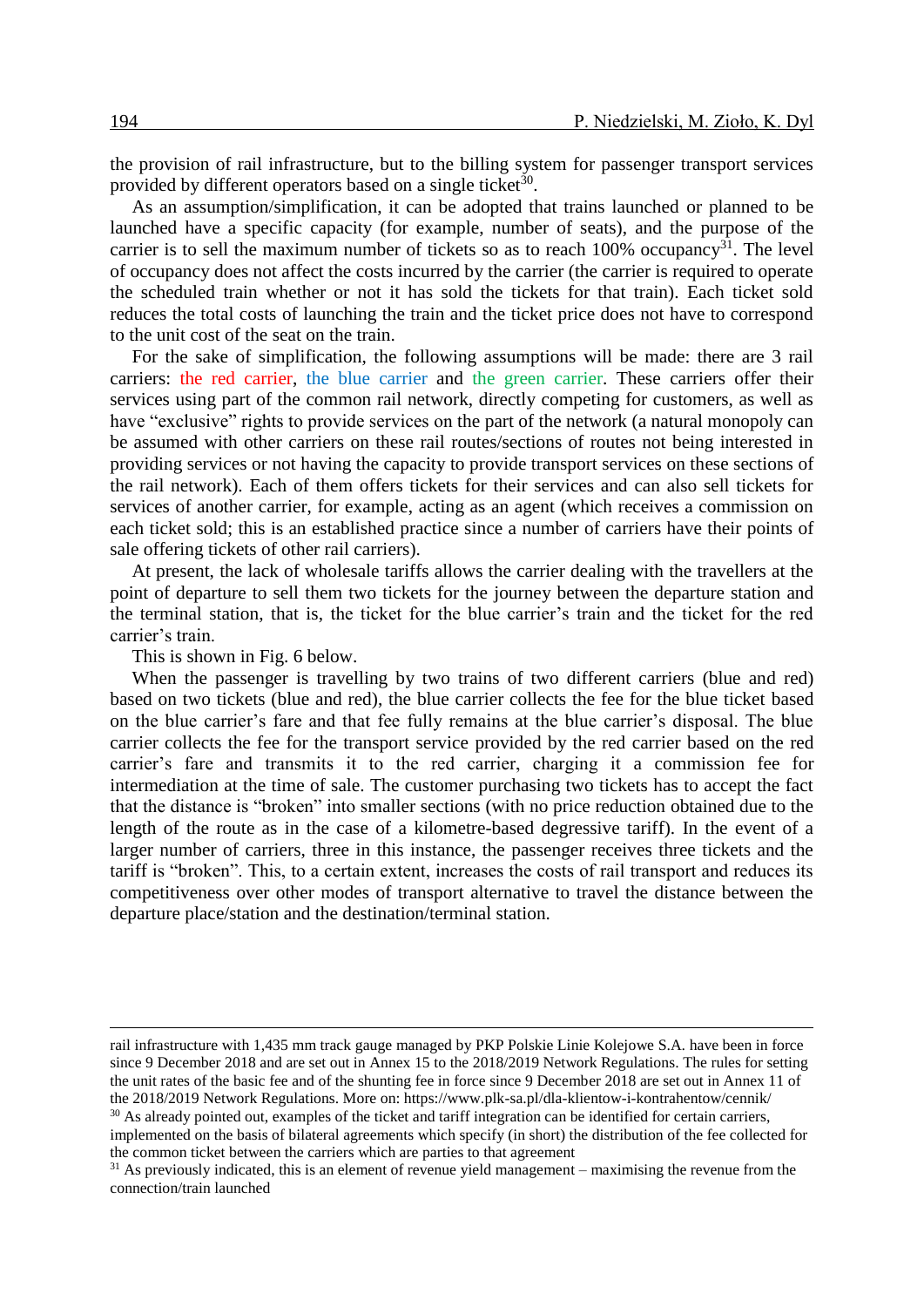the provision of rail infrastructure, but to the billing system for passenger transport services provided by different operators based on a single ticket<sup>30</sup>.

As an assumption/simplification, it can be adopted that trains launched or planned to be launched have a specific capacity (for example, number of seats), and the purpose of the carrier is to sell the maximum number of tickets so as to reach  $100\%$  occupancy<sup>31</sup>. The level of occupancy does not affect the costs incurred by the carrier (the carrier is required to operate the scheduled train whether or not it has sold the tickets for that train). Each ticket sold reduces the total costs of launching the train and the ticket price does not have to correspond to the unit cost of the seat on the train.

For the sake of simplification, the following assumptions will be made: there are 3 rail carriers: the red carrier, the blue carrier and the green carrier. These carriers offer their services using part of the common rail network, directly competing for customers, as well as have "exclusive" rights to provide services on the part of the network (a natural monopoly can be assumed with other carriers on these rail routes/sections of routes not being interested in providing services or not having the capacity to provide transport services on these sections of the rail network). Each of them offers tickets for their services and can also sell tickets for services of another carrier, for example, acting as an agent (which receives a commission on each ticket sold; this is an established practice since a number of carriers have their points of sale offering tickets of other rail carriers).

At present, the lack of wholesale tariffs allows the carrier dealing with the travellers at the point of departure to sell them two tickets for the journey between the departure station and the terminal station, that is, the ticket for the blue carrier's train and the ticket for the red carrier's train.

This is shown in Fig. 6 below.

When the passenger is travelling by two trains of two different carriers (blue and red) based on two tickets (blue and red), the blue carrier collects the fee for the blue ticket based on the blue carrier's fare and that fee fully remains at the blue carrier's disposal. The blue carrier collects the fee for the transport service provided by the red carrier based on the red carrier's fare and transmits it to the red carrier, charging it a commission fee for intermediation at the time of sale. The customer purchasing two tickets has to accept the fact that the distance is "broken" into smaller sections (with no price reduction obtained due to the length of the route as in the case of a kilometre-based degressive tariff). In the event of a larger number of carriers, three in this instance, the passenger receives three tickets and the tariff is "broken". This, to a certain extent, increases the costs of rail transport and reduces its competitiveness over other modes of transport alternative to travel the distance between the departure place/station and the destination/terminal station.

rail infrastructure with 1,435 mm track gauge managed by PKP Polskie Linie Kolejowe S.A. have been in force since 9 December 2018 and are set out in Annex 15 to the 2018/2019 Network Regulations. The rules for setting the unit rates of the basic fee and of the shunting fee in force since 9 December 2018 are set out in Annex 11 of the 2018/2019 Network Regulations. More on: https://www.plk-sa.pl/dla-klientow-i-kontrahentow/cennik/

 $30$  As already pointed out, examples of the ticket and tariff integration can be identified for certain carriers, implemented on the basis of bilateral agreements which specify (in short) the distribution of the fee collected for the common ticket between the carriers which are parties to that agreement

 $31$  As previously indicated, this is an element of revenue yield management – maximising the revenue from the connection/train launched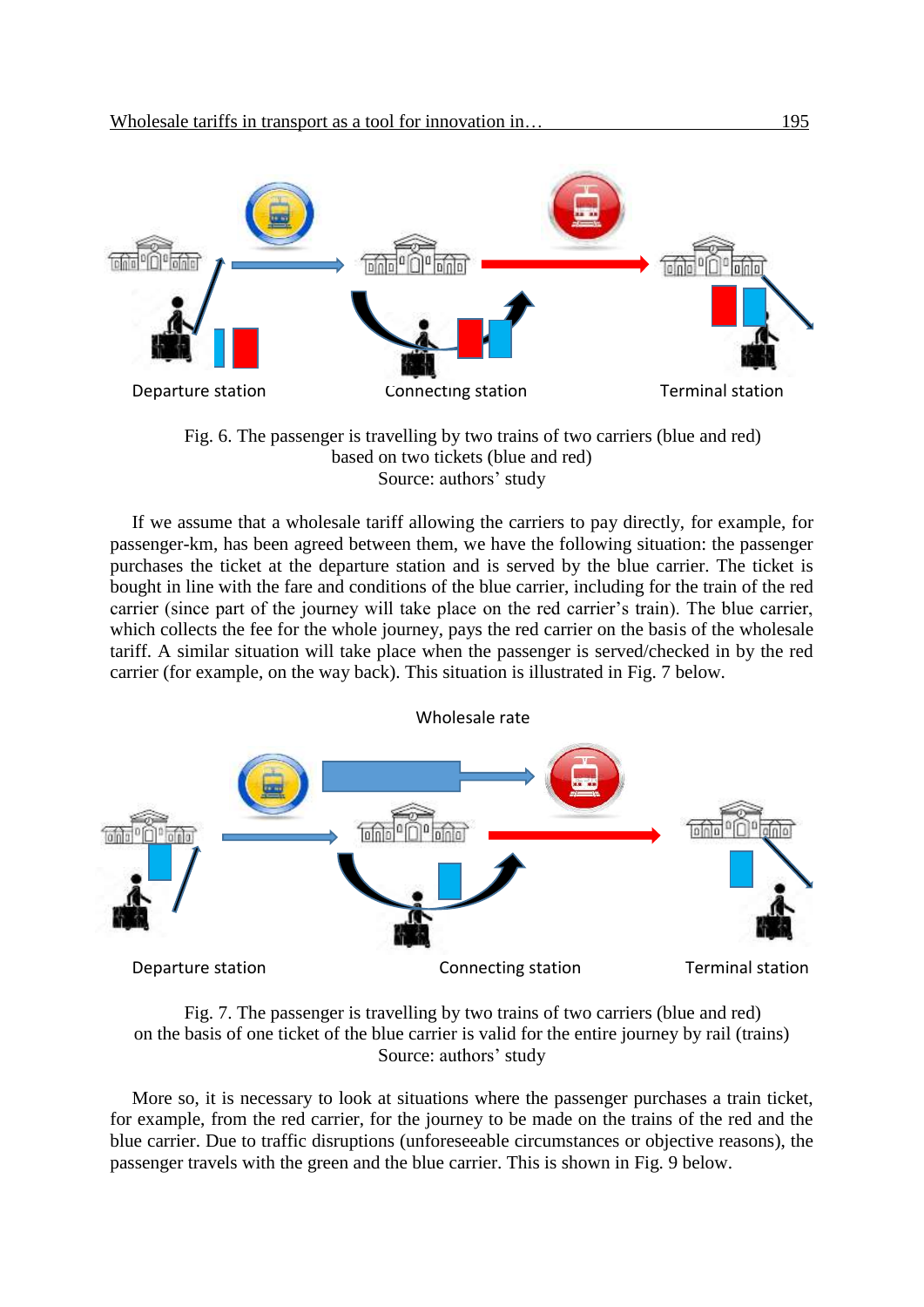



If we assume that a wholesale tariff allowing the carriers to pay directly, for example, for passenger-km, has been agreed between them, we have the following situation: the passenger purchases the ticket at the departure station and is served by the blue carrier. The ticket is bought in line with the fare and conditions of the blue carrier, including for the train of the red carrier (since part of the journey will take place on the red carrier's train). The blue carrier, which collects the fee for the whole journey, pays the red carrier on the basis of the wholesale tariff. A similar situation will take place when the passenger is served/checked in by the red carrier (for example, on the way back). This situation is illustrated in Fig. 7 below.





More so, it is necessary to look at situations where the passenger purchases a train ticket, for example, from the red carrier, for the journey to be made on the trains of the red and the blue carrier. Due to traffic disruptions (unforeseeable circumstances or objective reasons), the passenger travels with the green and the blue carrier. This is shown in Fig. 9 below.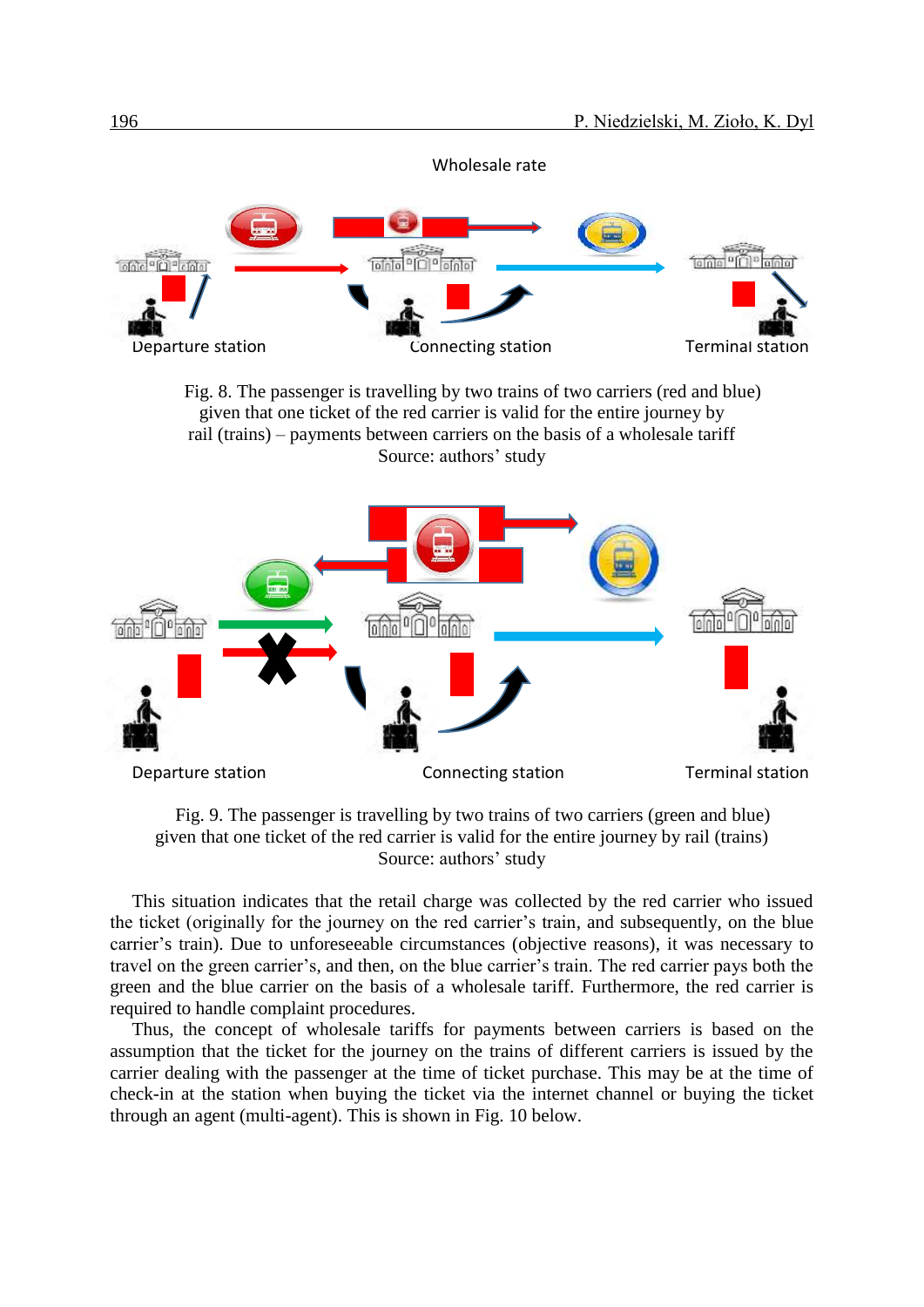

Fig. 8. The passenger is travelling by two trains of two carriers (red and blue) given that one ticket of the red carrier is valid for the entire journey by rail (trains) – payments between carriers on the basis of a wholesale tariff Source: authors' study



Fig. 9. The passenger is travelling by two trains of two carriers (green and blue) given that one ticket of the red carrier is valid for the entire journey by rail (trains) Source: authors' study

This situation indicates that the retail charge was collected by the red carrier who issued the ticket (originally for the journey on the red carrier's train, and subsequently, on the blue carrier's train). Due to unforeseeable circumstances (objective reasons), it was necessary to travel on the green carrier's, and then, on the blue carrier's train. The red carrier pays both the green and the blue carrier on the basis of a wholesale tariff. Furthermore, the red carrier is required to handle complaint procedures.

Thus, the concept of wholesale tariffs for payments between carriers is based on the assumption that the ticket for the journey on the trains of different carriers is issued by the carrier dealing with the passenger at the time of ticket purchase. This may be at the time of check-in at the station when buying the ticket via the internet channel or buying the ticket through an agent (multi-agent). This is shown in Fig. 10 below.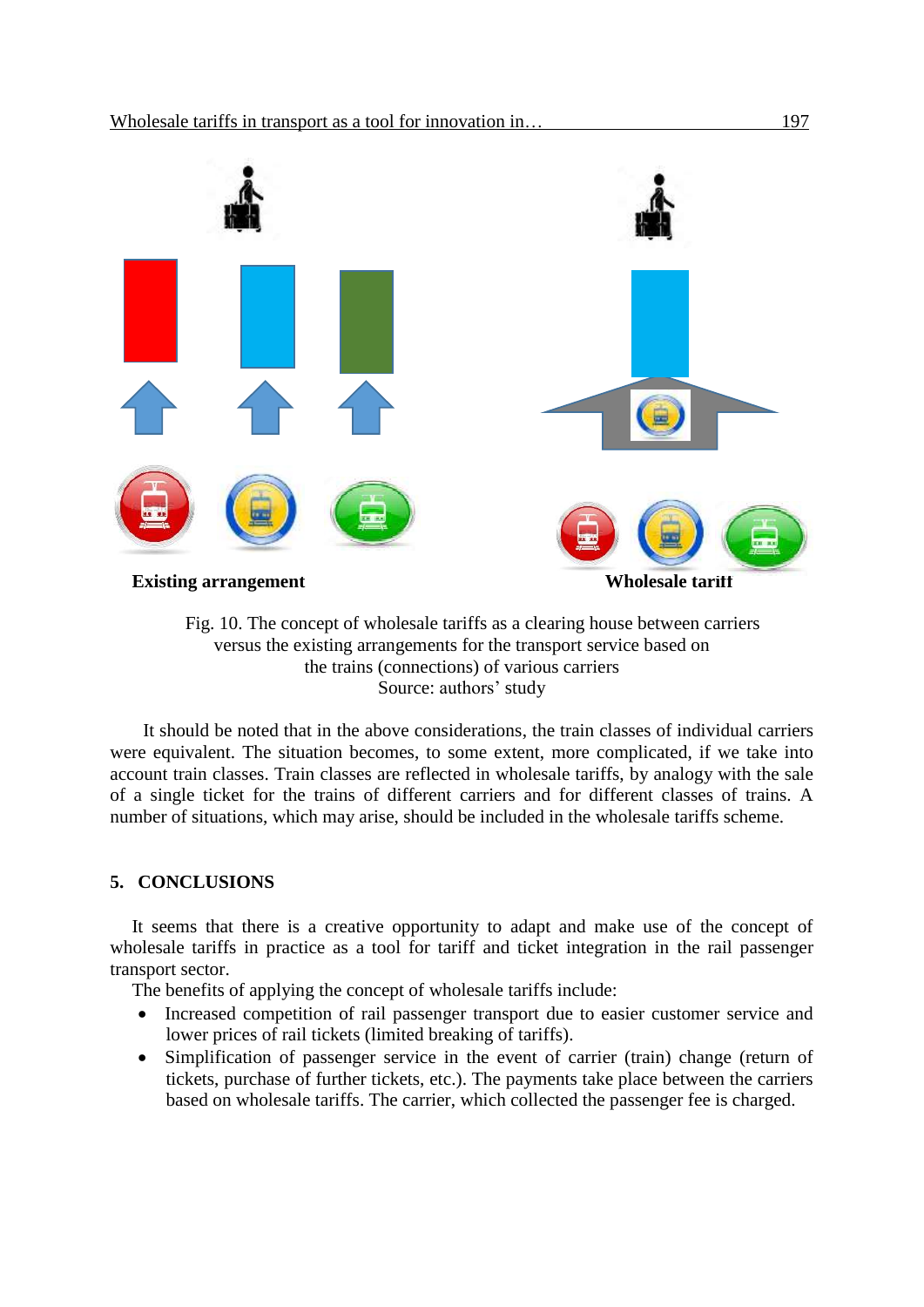

Fig. 10. The concept of wholesale tariffs as a clearing house between carriers versus the existing arrangements for the transport service based on the trains (connections) of various carriers Source: authors' study

It should be noted that in the above considerations, the train classes of individual carriers were equivalent. The situation becomes, to some extent, more complicated, if we take into account train classes. Train classes are reflected in wholesale tariffs, by analogy with the sale of a single ticket for the trains of different carriers and for different classes of trains. A number of situations, which may arise, should be included in the wholesale tariffs scheme.

## **5. CONCLUSIONS**

It seems that there is a creative opportunity to adapt and make use of the concept of wholesale tariffs in practice as a tool for tariff and ticket integration in the rail passenger transport sector.

The benefits of applying the concept of wholesale tariffs include:

- Increased competition of rail passenger transport due to easier customer service and lower prices of rail tickets (limited breaking of tariffs).
- Simplification of passenger service in the event of carrier (train) change (return of tickets, purchase of further tickets, etc.). The payments take place between the carriers based on wholesale tariffs. The carrier, which collected the passenger fee is charged.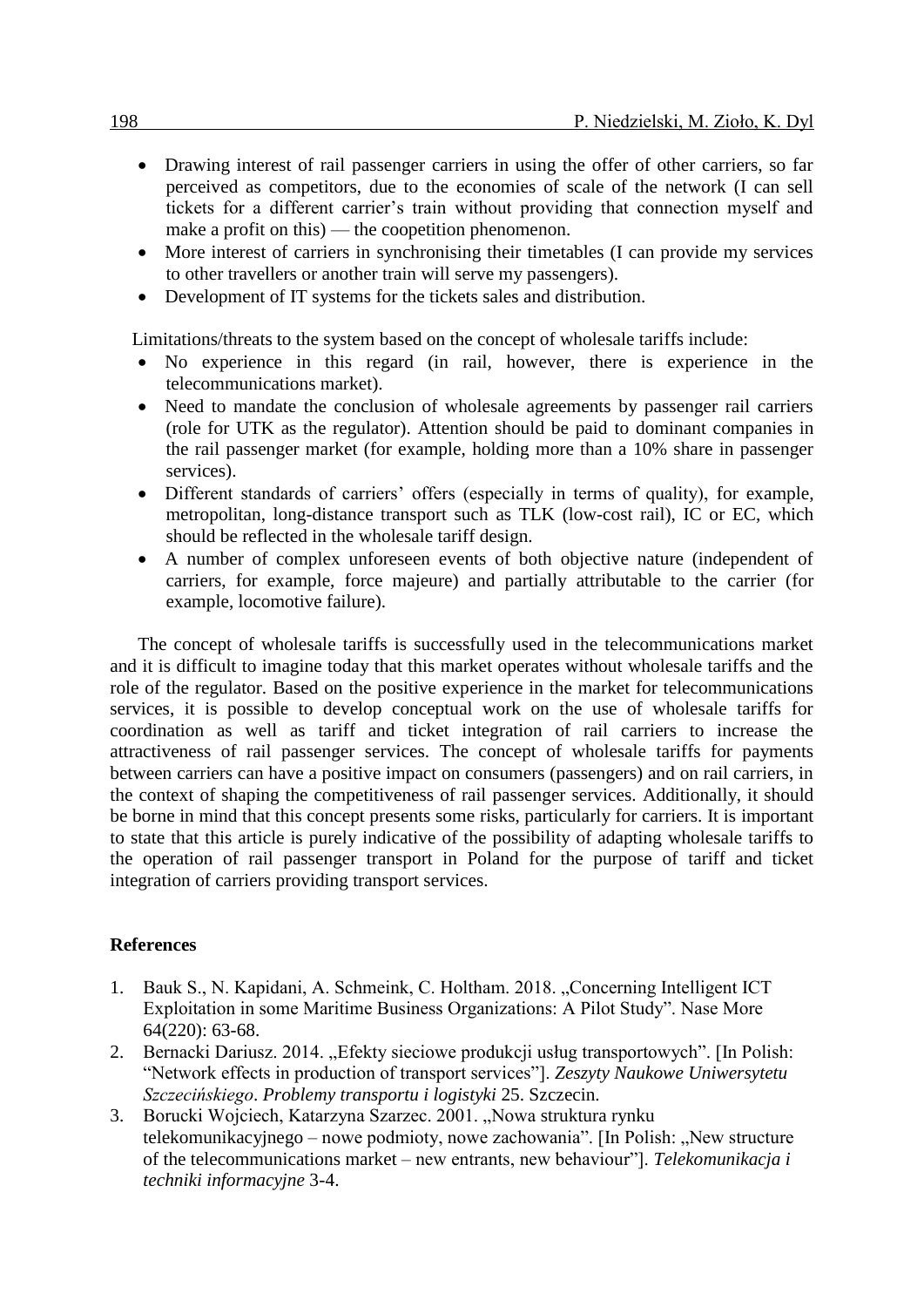- Drawing interest of rail passenger carriers in using the offer of other carriers, so far perceived as competitors, due to the economies of scale of the network (I can sell tickets for a different carrier's train without providing that connection myself and make a profit on this) — the coopetition phenomenon.
- More interest of carriers in synchronising their timetables (I can provide my services to other travellers or another train will serve my passengers).
- Development of IT systems for the tickets sales and distribution.

Limitations/threats to the system based on the concept of wholesale tariffs include:

- No experience in this regard (in rail, however, there is experience in the telecommunications market).
- Need to mandate the conclusion of wholesale agreements by passenger rail carriers (role for UTK as the regulator). Attention should be paid to dominant companies in the rail passenger market (for example, holding more than a 10% share in passenger services).
- Different standards of carriers' offers (especially in terms of quality), for example, metropolitan, long-distance transport such as TLK (low-cost rail), IC or EC, which should be reflected in the wholesale tariff design.
- A number of complex unforeseen events of both objective nature (independent of carriers, for example, force majeure) and partially attributable to the carrier (for example, locomotive failure).

The concept of wholesale tariffs is successfully used in the telecommunications market and it is difficult to imagine today that this market operates without wholesale tariffs and the role of the regulator. Based on the positive experience in the market for telecommunications services, it is possible to develop conceptual work on the use of wholesale tariffs for coordination as well as tariff and ticket integration of rail carriers to increase the attractiveness of rail passenger services. The concept of wholesale tariffs for payments between carriers can have a positive impact on consumers (passengers) and on rail carriers, in the context of shaping the competitiveness of rail passenger services. Additionally, it should be borne in mind that this concept presents some risks, particularly for carriers. It is important to state that this article is purely indicative of the possibility of adapting wholesale tariffs to the operation of rail passenger transport in Poland for the purpose of tariff and ticket integration of carriers providing transport services.

## **References**

- 1. Bauk S., N. Kapidani, A. Schmeink, C. Holtham. 2018. "Concerning Intelligent ICT Exploitation in some Maritime Business Organizations: A Pilot Study". Nase More 64(220): 63-68.
- 2. Bernacki Dariusz. 2014. "Efekty sieciowe produkcji usług transportowych". [In Polish: "Network effects in production of transport services"]. *Zeszyty Naukowe Uniwersytetu Szczecińskiego*. *Problemy transportu i logistyki* 25. Szczecin.
- 3. Borucki Wojciech, Katarzyna Szarzec. 2001. "Nowa struktura rynku telekomunikacyjnego – nowe podmioty, nowe zachowania". [In Polish: "New structure of the telecommunications market – new entrants, new behaviour"]. *Telekomunikacja i techniki informacyjne* 3-4.